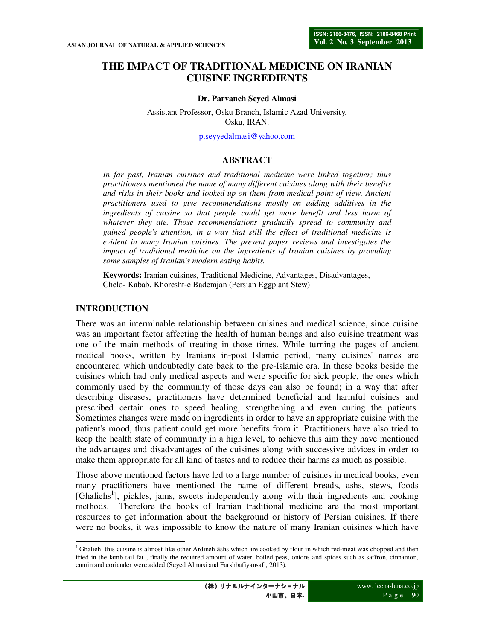# **THE IMPACT OF TRADITIONAL MEDICINE ON IRANIAN CUISINE INGREDIENTS**

#### **Dr. Parvaneh Seyed Almasi**

Assistant Professor, Osku Branch, Islamic Azad University, Osku, IRAN.

p.seyyedalmasi@yahoo.com

#### **ABSTRACT**

*In far past, Iranian cuisines and traditional medicine were linked together; thus practitioners mentioned the name of many different cuisines along with their benefits and risks in their books and looked up on them from medical point of view. Ancient practitioners used to give recommendations mostly on adding additives in the*  ingredients of cuisine so that people could get more benefit and less harm of *whatever they ate. Those recommendations gradually spread to community and gained people's attention, in a way that still the effect of traditional medicine is evident in many Iranian cuisines. The present paper reviews and investigates the impact of traditional medicine on the ingredients of Iranian cuisines by providing some samples of Iranian's modern eating habits.* 

**Keywords:** Iranian cuisines, Traditional Medicine, Advantages, Disadvantages, Chelo**-** Kabab, Khoresht-e Bademjan (Persian Eggplant Stew)

#### **INTRODUCTION**

There was an interminable relationship between cuisines and medical science, since cuisine was an important factor affecting the health of human beings and also cuisine treatment was one of the main methods of treating in those times. While turning the pages of ancient medical books, written by Iranians in-post Islamic period, many cuisines' names are encountered which undoubtedly date back to the pre-Islamic era. In these books beside the cuisines which had only medical aspects and were specific for sick people, the ones which commonly used by the community of those days can also be found; in a way that after describing diseases, practitioners have determined beneficial and harmful cuisines and prescribed certain ones to speed healing, strengthening and even curing the patients. Sometimes changes were made on ingredients in order to have an appropriate cuisine with the patient's mood, thus patient could get more benefits from it. Practitioners have also tried to keep the health state of community in a high level, to achieve this aim they have mentioned the advantages and disadvantages of the cuisines along with successive advices in order to make them appropriate for all kind of tastes and to reduce their harms as much as possible.

Those above mentioned factors have led to a large number of cuisines in medical books, even many practitioners have mentioned the name of different breads, āshs, stews, foods [Ghaliehs<sup>1</sup>], pickles, jams, sweets independently along with their ingredients and cooking methods. Therefore the books of Iranian traditional medicine are the most important resources to get information about the background or history of Persian cuisines. If there were no books, it was impossible to know the nature of many Iranian cuisines which have

 $\frac{1}{2}$ <sup>1</sup> Ghalieh: this cuisine is almost like other Ardineh āshs which are cooked by flour in which red-meat was chopped and then fried in the lamb tail fat , finally the required amount of water, boiled peas, onions and spices such as saffron, cinnamon, cumin and coriander were added (Seyed Almasi and Farshbafiyansafi, 2013).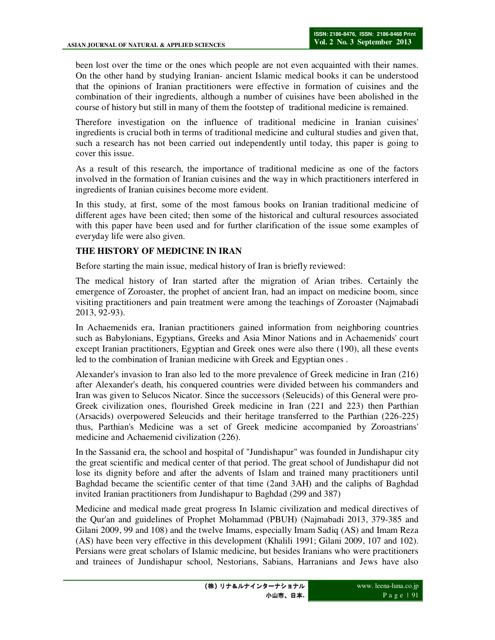been lost over the time or the ones which people are not even acquainted with their names. On the other hand by studying Iranian- ancient Islamic medical books it can be understood that the opinions of Iranian practitioners were effective in formation of cuisines and the combination of their ingredients, although a number of cuisines have been abolished in the course of history but still in many of them the footstep of traditional medicine is remained.

Therefore investigation on the influence of traditional medicine in Iranian cuisines' ingredients is crucial both in terms of traditional medicine and cultural studies and given that, such a research has not been carried out independently until today, this paper is going to cover this issue.

As a result of this research, the importance of traditional medicine as one of the factors involved in the formation of Iranian cuisines and the way in which practitioners interfered in ingredients of Iranian cuisines become more evident.

In this study, at first, some of the most famous books on Iranian traditional medicine of different ages have been cited; then some of the historical and cultural resources associated with this paper have been used and for further clarification of the issue some examples of everyday life were also given.

## **THE HISTORY OF MEDICINE IN IRAN**

Before starting the main issue, medical history of Iran is briefly reviewed:

The medical history of Iran started after the migration of Arian tribes. Certainly the emergence of Zoroaster, the prophet of ancient Iran, had an impact on medicine boom, since visiting practitioners and pain treatment were among the teachings of Zoroaster (Najmabadi 2013, 92-93).

In Achaemenids era, Iranian practitioners gained information from neighboring countries such as Babylonians, Egyptians, Greeks and Asia Minor Nations and in Achaemenids' court except Iranian practitioners, Egyptian and Greek ones were also there (190), all these events led to the combination of Iranian medicine with Greek and Egyptian ones .

Alexander's invasion to Iran also led to the more prevalence of Greek medicine in Iran (216) after Alexander's death, his conquered countries were divided between his commanders and Iran was given to Selucos Nicator. Since the successors (Seleucids) of this General were pro-Greek civilization ones, flourished Greek medicine in Iran (221 and 223) then Parthian (Arsacids) overpowered Seleucids and their heritage transferred to the Parthian (226-225) thus, Parthian's Medicine was a set of Greek medicine accompanied by Zoroastrians' medicine and Achaemenid civilization (226).

In the Sassanid era, the school and hospital of "Jundishapur" was founded in Jundishapur city the great scientific and medical center of that period. The great school of Jundishapur did not lose its dignity before and after the advents of Islam and trained many practitioners until Baghdad became the scientific center of that time (2and 3AH) and the caliphs of Baghdad invited Iranian practitioners from Jundishapur to Baghdad (299 and 387)

Medicine and medical made great progress In Islamic civilization and medical directives of the Qur'an and guidelines of Prophet Mohammad (PBUH) (Najmabadi 2013, 379-385 and Gilani 2009, 99 and 108) and the twelve Imams, especially Imam Sadiq (AS) and Imam Reza (AS) have been very effective in this development (Khalili 1991; Gilani 2009, 107 and 102). Persians were great scholars of Islamic medicine, but besides Iranians who were practitioners and trainees of Jundishapur school, Nestorians, Sabians, Harranians and Jews have also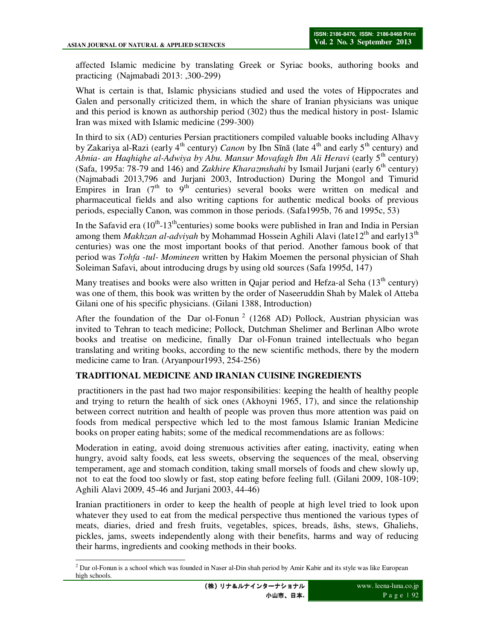affected Islamic medicine by translating Greek or Syriac books, authoring books and practicing (Najmabadi 2013: ,300-299)

What is certain is that, Islamic physicians studied and used the votes of Hippocrates and Galen and personally criticized them, in which the share of Iranian physicians was unique and this period is known as authorship period (302) thus the medical history in post- Islamic Iran was mixed with Islamic medicine (299-300)

In third to six (AD) centuries Persian practitioners compiled valuable books including Alhavy by Zakariya al-Razi (early 4<sup>th</sup> century) *Canon* by Ibn Sīnā (late 4<sup>th</sup> and early 5<sup>th</sup> century) and *Abnia- an Haqhiqhe al-Adwiya by Abu. Mansur Movafagh Ibn Ali Heravi* (early 5<sup>th</sup> century) (Safa, 1995a: 78-79 and 146) and *Zakhire Kharazmshahi* by Ismail Juriani (early 6<sup>th</sup> century) (Najmabadi 2013,796 and Jurjani 2003, Introduction) During the Mongol and Timurid Empires in Iran  $(7<sup>th</sup>$  to 9<sup>th</sup> centuries) several books were written on medical and pharmaceutical fields and also writing captions for authentic medical books of previous periods, especially Canon, was common in those periods. (Safa1995b, 76 and 1995c, 53)

In the Safavid era  $(10^{th} - 13^{th}$ centuries) some books were published in Iran and India in Persian among them *Makhzan al-adviyah* by Mohammad Hossein Aghili Alavi (late12<sup>th</sup> and early13<sup>th</sup> centuries) was one the most important books of that period. Another famous book of that period was *Tohfa -tul- Momineen* written by Hakim Moemen the personal physician of Shah Soleiman Safavi, about introducing drugs by using old sources (Safa 1995d, 147)

Many treatises and books were also written in Qajar period and Hefza-al Seha  $(13<sup>th</sup>$  century) was one of them, this book was written by the order of Naseeruddin Shah by Malek ol Atteba Gilani one of his specific physicians. (Gilani 1388, Introduction)

After the foundation of the Dar ol-Fonun<sup>2</sup> (1268 AD) Pollock, Austrian physician was invited to Tehran to teach medicine; Pollock, Dutchman Shelimer and Berlinan Albo wrote books and treatise on medicine, finally Dar ol-Fonun trained intellectuals who began translating and writing books, according to the new scientific methods, there by the modern medicine came to Iran. (Aryanpour1993, 254-256)

# **TRADITIONAL MEDICINE AND IRANIAN CUISINE INGREDIENTS**

 practitioners in the past had two major responsibilities: keeping the health of healthy people and trying to return the health of sick ones (Akhoyni 1965, 17), and since the relationship between correct nutrition and health of people was proven thus more attention was paid on foods from medical perspective which led to the most famous Islamic Iranian Medicine books on proper eating habits; some of the medical recommendations are as follows:

Moderation in eating, avoid doing strenuous activities after eating, inactivity, eating when hungry, avoid salty foods, eat less sweets, observing the sequences of the meal, observing temperament, age and stomach condition, taking small morsels of foods and chew slowly up, not to eat the food too slowly or fast, stop eating before feeling full. (Gilani 2009, 108-109; Aghili Alavi 2009, 45-46 and Jurjani 2003, 44-46)

Iranian practitioners in order to keep the health of people at high level tried to look upon whatever they used to eat from the medical perspective thus mentioned the various types of meats, diaries, dried and fresh fruits, vegetables, spices, breads, āshs, stews, Ghaliehs, pickles, jams, sweets independently along with their benefits, harms and way of reducing their harms, ingredients and cooking methods in their books.

 $\overline{a}$  $2^{2}$  Dar ol-Fonun is a school which was founded in Naser al-Din shah period by Amir Kabir and its style was like European high schools.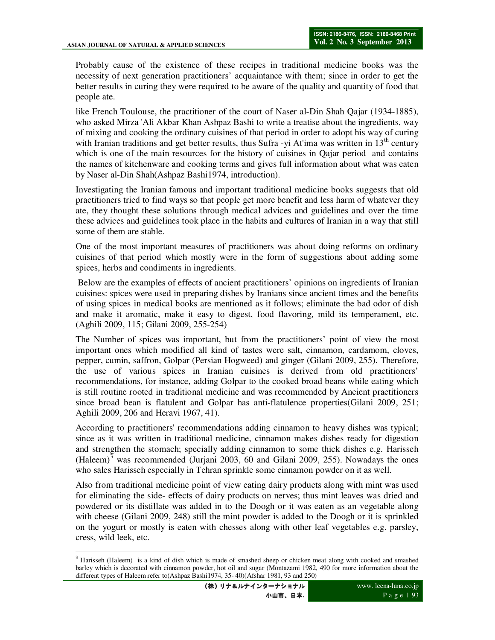Probably cause of the existence of these recipes in traditional medicine books was the necessity of next generation practitioners' acquaintance with them; since in order to get the better results in curing they were required to be aware of the quality and quantity of food that people ate.

like French Toulouse, the practitioner of the court of Naser al-Din Shah Qajar (1934-1885), who asked Mirza 'Ali Akbar Khan Ashpaz Bashi to write a treatise about the ingredients, way of mixing and cooking the ordinary cuisines of that period in order to adopt his way of curing with Iranian traditions and get better results, thus Sufra -yi At'ima was written in  $13<sup>th</sup>$  century which is one of the main resources for the history of cuisines in Qajar period and contains the names of kitchenware and cooking terms and gives full information about what was eaten by Naser al-Din Shah(Ashpaz Bashi1974, introduction).

Investigating the Iranian famous and important traditional medicine books suggests that old practitioners tried to find ways so that people get more benefit and less harm of whatever they ate, they thought these solutions through medical advices and guidelines and over the time these advices and guidelines took place in the habits and cultures of Iranian in a way that still some of them are stable.

One of the most important measures of practitioners was about doing reforms on ordinary cuisines of that period which mostly were in the form of suggestions about adding some spices, herbs and condiments in ingredients.

 Below are the examples of effects of ancient practitioners' opinions on ingredients of Iranian cuisines: spices were used in preparing dishes by Iranians since ancient times and the benefits of using spices in medical books are mentioned as it follows; eliminate the bad odor of dish and make it aromatic, make it easy to digest, food flavoring, mild its temperament, etc. (Aghili 2009, 115; Gilani 2009, 255-254)

The Number of spices was important, but from the practitioners' point of view the most important ones which modified all kind of tastes were salt, cinnamon, cardamom, cloves, pepper, cumin, saffron, Golpar (Persian Hogweed) and ginger (Gilani 2009, 255). Therefore, the use of various spices in Iranian cuisines is derived from old practitioners' recommendations, for instance, adding Golpar to the cooked broad beans while eating which is still routine rooted in traditional medicine and was recommended by Ancient practitioners since broad bean is flatulent and Golpar has anti-flatulence properties(Gilani 2009, 251; Aghili 2009, 206 and Heravi 1967, 41).

According to practitioners' recommendations adding cinnamon to heavy dishes was typical; since as it was written in traditional medicine, cinnamon makes dishes ready for digestion and strengthen the stomach; specially adding cinnamon to some thick dishes e.g. Harisseh  $(Haleem)^3$  was recommended (Jurjani 2003, 60 and Gilani 2009, 255). Nowadays the ones who sales Harisseh especially in Tehran sprinkle some cinnamon powder on it as well.

Also from traditional medicine point of view eating dairy products along with mint was used for eliminating the side- effects of dairy products on nerves; thus mint leaves was dried and powdered or its distillate was added in to the Doogh or it was eaten as an vegetable along with cheese (Gilani 2009, 248) still the mint powder is added to the Doogh or it is sprinkled on the yogurt or mostly is eaten with chesses along with other leaf vegetables e.g. parsley, cress, wild leek, etc.

 $\overline{\phantom{a}}$ <sup>3</sup> Harisseh (Haleem) is a kind of dish which is made of smashed sheep or chicken meat along with cooked and smashed barley which is decorated with cinnamon powder, hot oil and sugar (Montazami 1982, 490 for more information about the different types of Haleem refer to(Ashpaz Bashi1974, 35- 40)(Afshar 1981, 93 and 250)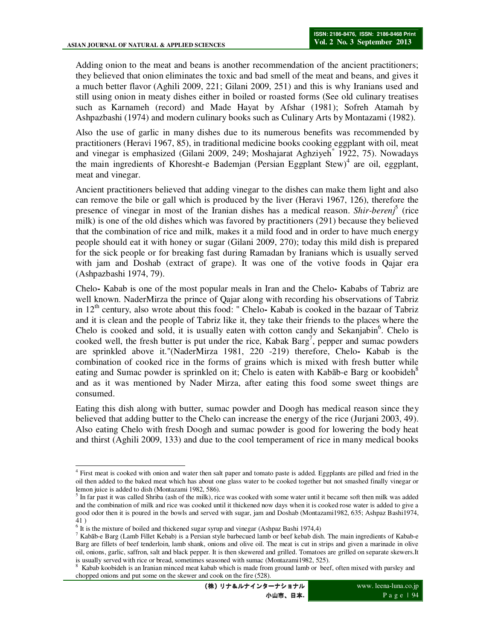Adding onion to the meat and beans is another recommendation of the ancient practitioners; they believed that onion eliminates the toxic and bad smell of the meat and beans, and gives it a much better flavor (Aghili 2009, 221; Gilani 2009, 251) and this is why Iranians used and still using onion in meaty dishes either in boiled or roasted forms (See old culinary treatises such as Karnameh (record) and Made Hayat by Afshar (1981); Sofreh Atamah by Ashpazbashi (1974) and modern culinary books such as Culinary Arts by Montazami (1982).

Also the use of garlic in many dishes due to its numerous benefits was recommended by practitioners (Heravi 1967, 85), in traditional medicine books cooking eggplant with oil, meat and vinegar is emphasized (Gilani 2009, 249; Moshajarat Aghziyeh<sup>\*</sup> 1922, 75). Nowadays the main ingredients of Khoresht-e Bademjan (Persian Eggplant Stew)<sup>4</sup> are oil, eggplant, meat and vinegar.

Ancient practitioners believed that adding vinegar to the dishes can make them light and also can remove the bile or gall which is produced by the liver (Heravi 1967, 126), therefore the presence of vinegar in most of the Iranian dishes has a medical reason. *Shir-berenj*<sup>5</sup> (rice milk) is one of the old dishes which was favored by practitioners (291) because they believed that the combination of rice and milk, makes it a mild food and in order to have much energy people should eat it with honey or sugar (Gilani 2009, 270); today this mild dish is prepared for the sick people or for breaking fast during Ramadan by Iranians which is usually served with jam and Doshab (extract of grape). It was one of the votive foods in Qajar era (Ashpazbashi 1974, 79).

Chelo**-** Kabab is one of the most popular meals in Iran and the Chelo**-** Kababs of Tabriz are well known. NaderMirza the prince of Qajar along with recording his observations of Tabriz in 12th century, also wrote about this food: " Chelo**-** Kabab is cooked in the bazaar of Tabriz and it is clean and the people of Tabriz like it, they take their friends to the places where the Chelo is cooked and sold, it is usually eaten with cotton candy and Sekanjabin<sup>6</sup>. Chelo is cooked well, the fresh butter is put under the rice, Kabak Barg<sup>7</sup>, pepper and sumac powders are sprinkled above it."(NaderMirza 1981, 220 -219) therefore, Chelo**-** Kabab is the combination of cooked rice in the forms of grains which is mixed with fresh butter while eating and Sumac powder is sprinkled on it; Chelo is eaten with Kabab-e Barg or koobideh<sup>8</sup> and as it was mentioned by Nader Mirza, after eating this food some sweet things are consumed.

Eating this dish along with butter, sumac powder and Doogh has medical reason since they believed that adding butter to the Chelo can increase the energy of the rice (Jurjani 2003, 49). Also eating Chelo with fresh Doogh and sumac powder is good for lowering the body heat and thirst (Aghili 2009, 133) and due to the cool temperament of rice in many medical books

 4 First meat is cooked with onion and water then salt paper and tomato paste is added. Eggplants are pilled and fried in the oil then added to the baked meat which has about one glass water to be cooked together but not smashed finally vinegar or lemon juice is added to dish (Montazami 1982, 586).

 $<sup>5</sup>$  In far past it was called Shriba (ash of the milk), rice was cooked with some water until it became soft then milk was added</sup> and the combination of milk and rice was cooked until it thickened now days when it is cooked rose water is added to give a good odor then it is poured in the bowls and served with sugar, jam and Doshab (Montazami1982, 635; Ashpaz Bashi1974, 41 )

 $6$  It is the mixture of boiled and thickened sugar syrup and vinegar (Ashpaz Bashi 1974,4)

<sup>7</sup> Kabāb-e Barg (Lamb Fillet Kebab) is a Persian style barbecued lamb or beef kebab dish. The main ingredients of Kabab-e Barg are fillets of beef tenderloin, lamb shank, onions and olive oil. The meat is cut in strips and given a marinade in olive oil, onions, garlic, saffron, salt and black pepper. It is then skewered and grilled. Tomatoes are grilled on separate skewers.It is usually served with rice or bread, sometimes seasoned with sumac (Montazami1982, 525).<br><sup>8</sup> Kahah koobidah is an Iranian minoad meet kahah which is meda from ground lamb or host

Kabab koobideh is an Iranian minced meat kabab which is made from ground lamb or beef, often mixed with parsley and chopped onions and put some on the skewer and cook on the fire (528).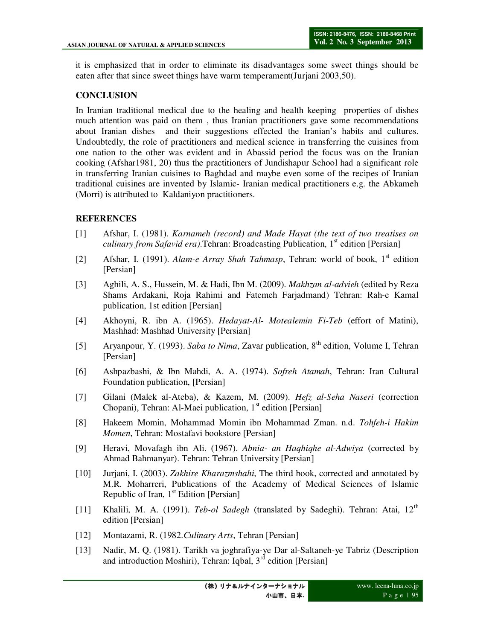it is emphasized that in order to eliminate its disadvantages some sweet things should be eaten after that since sweet things have warm temperament(Jurjani 2003,50).

## **CONCLUSION**

In Iranian traditional medical due to the healing and health keeping properties of dishes much attention was paid on them , thus Iranian practitioners gave some recommendations about Iranian dishes and their suggestions effected the Iranian's habits and cultures. Undoubtedly, the role of practitioners and medical science in transferring the cuisines from one nation to the other was evident and in Abassid period the focus was on the Iranian cooking (Afshar1981, 20) thus the practitioners of Jundishapur School had a significant role in transferring Iranian cuisines to Baghdad and maybe even some of the recipes of Iranian traditional cuisines are invented by Islamic- Iranian medical practitioners e.g. the Abkameh (Morri) is attributed to Kaldaniyon practitioners.

# **REFERENCES**

- [1] Afshar, I. (1981). *Karnameh (record) and Made Hayat (the text of two treatises on culinary from Safavid era*).Tehran: Broadcasting Publication, 1<sup>st</sup> edition [Persian]
- [2] Afshar, I. (1991). *Alam-e Array Shah Tahmasp*, Tehran: world of book, 1<sup>st</sup> edition [Persian]
- [3] Aghili, A. S., Hussein, M. & Hadi, Ibn M. (2009). *Makhzan al* -*advieh* (edited by Reza Shams Ardakani, Roja Rahimi and Fatemeh Farjadmand) Tehran: Rah-e Kamal publication, 1st edition [Persian]
- [4] Akhoyni, R. ibn A. (1965). *Hedayat-Al- Motealemin Fi-Teb* (effort of Matini), Mashhad: Mashhad University [Persian]
- [5] Aryanpour, Y. (1993). *Saba to Nima*, Zavar publication, 8th edition, Volume I, Tehran [Persian]
- [6] Ashpazbashi, & Ibn Mahdi, A. A. (1974). *Sofreh Atamah*, Tehran: Iran Cultural Foundation publication, [Persian]
- [7] Gilani (Malek al-Ateba), & Kazem, M. (2009). *Hefz al-Seha Naseri* (correction Chopani), Tehran: Al-Maei publication,  $1<sup>st</sup>$  edition [Persian]
- [8] Hakeem Momin, Mohammad Momin ibn Mohammad Zman. n.d. *Tohfeh-i Hakim Momen*, Tehran: Mostafavi bookstore [Persian]
- [9] Heravi, Movafagh ibn Ali. (1967). *Abnia- an Haqhiqhe al-Adwiya* (corrected by Ahmad Bahmanyar). Tehran: Tehran University [Persian]
- [10] Jurjani, I. (2003). *Zakhire Kharazmshahi*, The third book, corrected and annotated by M.R. Moharreri, Publications of the Academy of Medical Sciences of Islamic Republic of Iran,  $1<sup>st</sup>$  Edition [Persian]
- [11] Khalili, M. A. (1991). *Teb-ol Sadegh* (translated by Sadeghi). Tehran: Atai, 12<sup>th</sup> edition [Persian]
- [12] Montazami, R. (1982.*Culinary Arts*, Tehran [Persian]
- [13] Nadir, M. Q. (1981). Tarikh va joghrafiya-ye Dar al-Saltaneh-ye Tabriz (Description and introduction Moshiri), Tehran: Iqbal,  $3<sup>rd</sup>$  edition [Persian]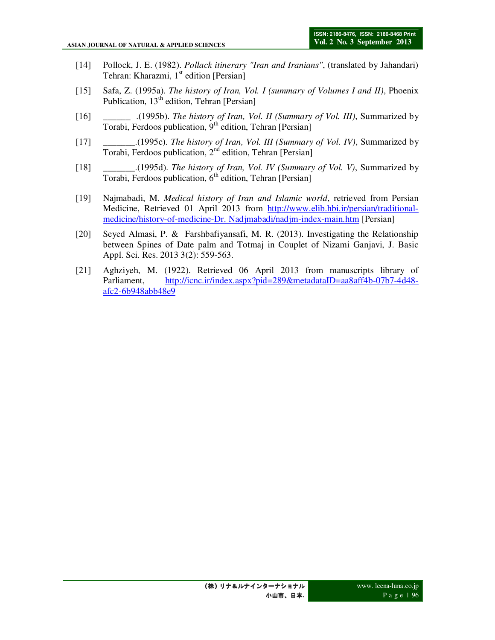- [14] Pollock, J. E. (1982). *Pollack itinerary "Iran and Iranians"*, (translated by Jahandari) Tehran: Kharazmi,  $1<sup>st</sup>$  edition [Persian]
- [15] Safa, Z. (1995a). *The history of Iran, Vol. I (summary of Volumes I and II)*, Phoenix Publication, 13<sup>th</sup> edition, Tehran [Persian]
- [16] \_\_\_\_\_\_ .(1995b). *The history of Iran, Vol. II (Summary of Vol. III)*, Summarized by Torabi, Ferdoos publication, 9th edition, Tehran [Persian]
- [17] \_\_\_\_\_\_\_.(1995c). *The history of Iran, Vol. III (Summary of Vol. IV)*, Summarized by Torabi, Ferdoos publication, 2<sup>nd</sup> edition, Tehran [Persian]
- [18] \_\_\_\_\_\_\_.(1995d). *The history of Iran, Vol. IV (Summary of Vol. V)*, Summarized by Torabi, Ferdoos publication, 6<sup>th</sup> edition, Tehran [Persian]
- [19] Najmabadi, M. *Medical history of Iran and Islamic world*, retrieved from Persian Medicine, Retrieved 01 April 2013 from http://www.elib.hbi.ir/persian/traditionalmedicine/history-of-medicine-Dr. Nadjmabadi/nadjm-index-main.htm [Persian]
- [20] Seyed Almasi, P. & Farshbafiyansafi, M. R. (2013). Investigating the Relationship between Spines of Date palm and Totmaj in Couplet of Nizami Ganjavi, J. Basic Appl. Sci. Res. 2013 3(2): 559-563.
- [21] Aghziyeh, M. (1922). Retrieved 06 April 2013 from manuscripts library of Parliament, http://icnc.ir/index.aspx?pid=289&metadataID=aa8aff4b-07b7-4d48 afc2-6b948abb48e9